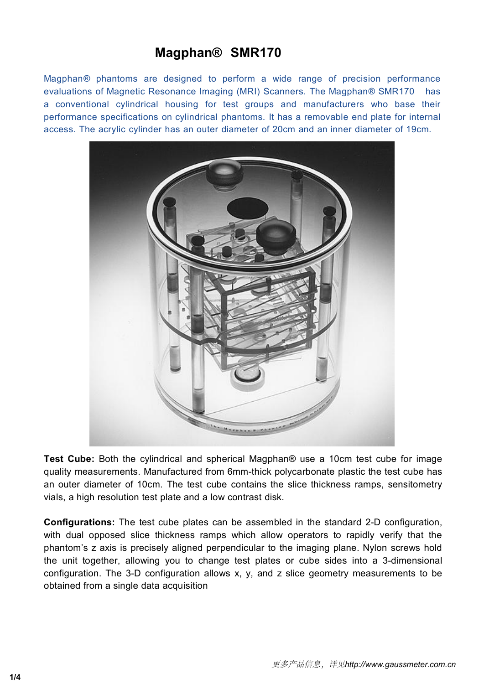# **Magphan® SMR170**

**Magphan® SMR170**<br>Magphan® phantoms are designed to perform a wide range of precision performance<br>evaluations of Magnetic Resonance Imaging (MRI) Scanners. The Magphan® SMR170 has<br>a conventional cylindrical housing for tes **Magphan® SMR170**<br>Magphan® phantoms are designed to perform a wide range of precision performance<br>evaluations of Magnetic Resonance Imaging (MRI) Scanners. The Magphan® SMR170 has<br>a conventional cylindrical housing for t **Magphan® SMR170**<br>Magphan® phantoms are designed to perform a wide range of precision performance<br>evaluations of Magnetic Resonance Imaging (MRI) Scanners. The Magphan® SMR170 has<br>a conventional cylindrical housing for tes **Magphan**® **SMR170**<br>Magphan® phantoms are designed to perform a wide range of precision performance<br>evaluations of Magnetic Resonance Imaging (MRI) Scanners. The Magphan® SMR170 has<br>a conventional cylindrical housing for t **Magphan® SMR170**<br>Magphan® phantoms are designed to perform a wide range of precision performance<br>evaluations of Magnetic Resonance Imaging (MRI) Scanners. The Magphan® SMR170 has<br>a conventional cylindrical housing for tes



Test Cube: Both the cylindrical and spherical Magphan® use a 10cm test cube for image quality measurements. Manufactured from 6mm-thick polycarbonate plastic the test cube has an outer diameter of 10cm. The test cube conta Test Cube: Both the cylindrical and spherical Magphan® use a 10cm test cube for image<br>quality measurements. Manufactured from 6mm-thick polycarbonate plastic the test cube has<br>an outer diameter of 10cm. The test cube conta Test Cube: Both the cylindrical and spherical Magphan® use a 10cm test cube for image<br>quality measurements. Manufactured from 6mm-thick polycarbonate plastic the test cube has<br>an outer diameter of 10cm. The test cube conta Test Cube: Both the cylindrical and spherical Magphan® use a 10cm test cube for image quality measurements. Manufactured from 6mm-thick polycarbonate plastic the test cube has an outer diameter of 10cm. The test cube conta Test Cube: Both the cylindrical and spherical Magphan® us<br>quality measurements. Manufactured from 6mm-thick polycar<br>an outer diameter of 10cm. The test cube contains the slice<br>vials, a high resolution test plate and a low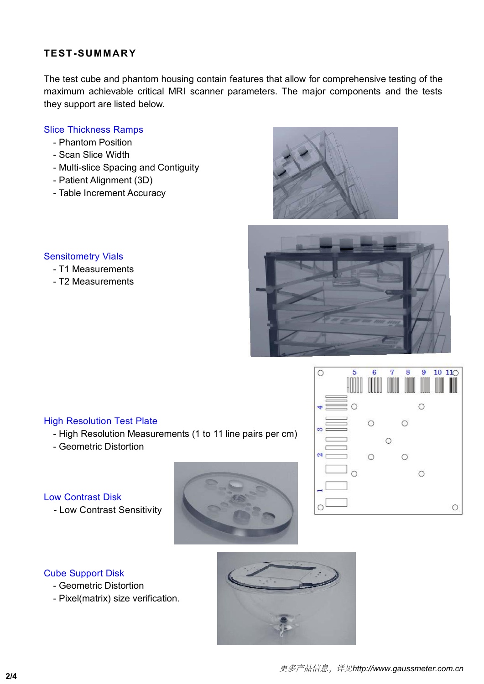**TEST-SUMMARY**<br>The test cube and phantom housing contain features the<br>maximum achievable critical MRI scanner parameters<br>they support are listed below. TEST-SUMMARY<br>The test cube and phantom housing contain features that allow for comprehensive testing of the<br>maximum achievable critical MRI scanner parameters. The major components and the tests<br>they support are listed bel TEST-SUMMARY<br>The test cube and phantom housing contain features that allow for comprehensive testing of the<br>maximum achievable critical MRI scanner parameters. The major components and the tests<br>they support are listed bel TEST-SUMMARY<br>The test cube and phantom housing contain features tha<br>maximum achievable critical MRI scanner parameters.<br>they support are listed below.<br>Slice Thickness Ramps<br>- Phantom Position TEST-SUMMARY<br>
The test cube and phantom housing contain featur<br>
maximum achievable critical MRI scanner param<br>
they support are listed below.<br>
Slice Thickness Ramps<br>
- Phantom Position<br>
- Scan Slice Width<br>
- Multi-slice Sp EST-SUMMARY<br>
ie test cube and phantom housing contain feature<br>
intervalse critical MRI scanner party<br>
support are listed below.<br>
ice Thickness Ramps<br>
- Phantom Position<br>
- Scan Slice Width<br>
- Multi-slice Spacing and Contig EST-SUMMARY<br>
The test cube and phantom housing contain feat<br>
aximum achievable critical MRI scanner para<br>
Ey support are listed below.<br>
Container Position<br>
- Scan Slice Width<br>
- Multi-slice Spacing and Contiguity<br>
- Patien EST-SUMMARY<br>
e test cube and phantom housing contain features that allo<br>
aximum achievable critical MRI scanner parameters. The<br>
ey support are listed below.<br>
ice Thickness Ramps<br>
- Phantom Position<br>
- Scan Slice Width<br>
- EST-SUMMARY<br>
The test cube and phantom housing contain features the<br>
Daximum achievable critical MRI scanner parameters<br>
ey support are listed below.<br>
Container parameters<br>
- Phantom Position<br>
- Scan Slice Width<br>
- Multi-s -31-30 MMART<br>
The test cube and phantom housing contain features<br>
aximum achievable critical MRI scanner paramete<br>
ey support are listed below.<br>
Ice Thickness Ramps<br>
- Phantom Position<br>
- Scan Slice Width<br>
- Multi-slice Sp

- 
- 
- Slice Thickness Ramps<br>
 Phantom Position<br>
 Scan Slice Width<br>
 Multi-slice Spacing and Contiguity<br>
 Patient Alignment (3D)<br>
 Table Increment Accuracy<br>
Sensitometry Vials<br>
 T1 Measurements<br>
 T2 Measurements **CE THEATESS Namps**<br>
- Phantom Position<br>
- Scan Slice Width<br>
- Multi-slice Spacing and Contiguity<br>
- Patient Alignment (3D)<br>
- Table Increment Accuracy<br>
- T1 Measurements<br>
- T2 Measurements - Friandom Posidon<br>- Scan Slice Width<br>- Multi-slice Spacing and Contiguity<br>- Patient Alignment (3D)<br>- Table Increment Accuracy<br>Pasitometry Vials<br>- T1 Measurements<br>- T2 Measurements
	-
	-





- 
- 

- TZ Measurements<br>
High Resolution Test Plate<br>
 High Resolution Measurements (1 to 11 line pairs pe<br>
 Geometric Distortion
	-





- 
- 

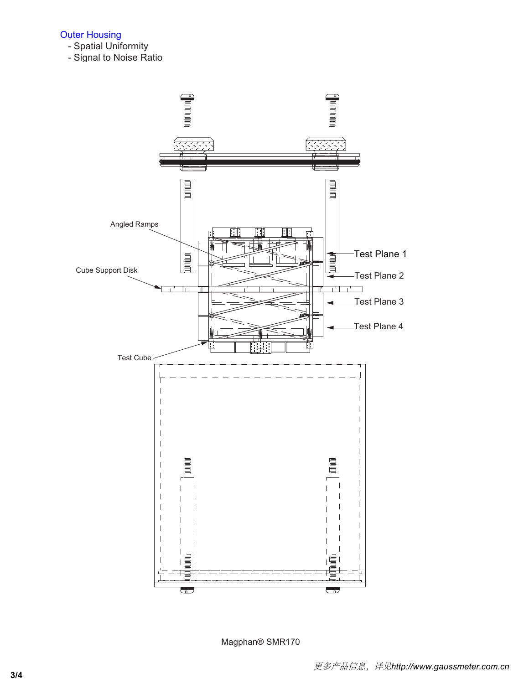## Outer Housing

- Spatial Uniformity
- Signal to Noise Ratio



Magphan® SMR170